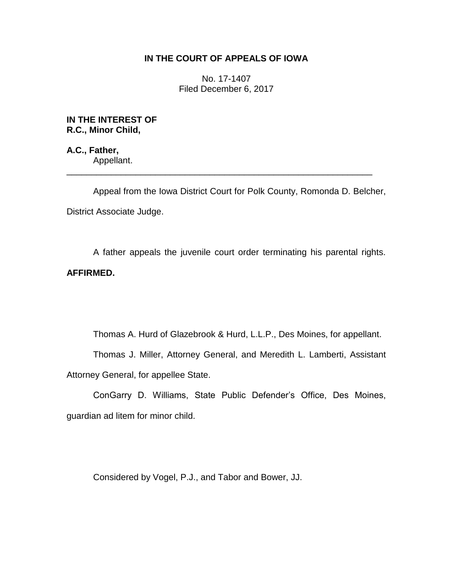# **IN THE COURT OF APPEALS OF IOWA**

No. 17-1407 Filed December 6, 2017

**IN THE INTEREST OF R.C., Minor Child,**

**A.C., Father,** Appellant. \_\_\_\_\_\_\_\_\_\_\_\_\_\_\_\_\_\_\_\_\_\_\_\_\_\_\_\_\_\_\_\_\_\_\_\_\_\_\_\_\_\_\_\_\_\_\_\_\_\_\_\_\_\_\_\_\_\_\_\_\_\_

Appeal from the Iowa District Court for Polk County, Romonda D. Belcher, District Associate Judge.

A father appeals the juvenile court order terminating his parental rights. **AFFIRMED.**

Thomas A. Hurd of Glazebrook & Hurd, L.L.P., Des Moines, for appellant.

Thomas J. Miller, Attorney General, and Meredith L. Lamberti, Assistant Attorney General, for appellee State.

ConGarry D. Williams, State Public Defender's Office, Des Moines, guardian ad litem for minor child.

Considered by Vogel, P.J., and Tabor and Bower, JJ.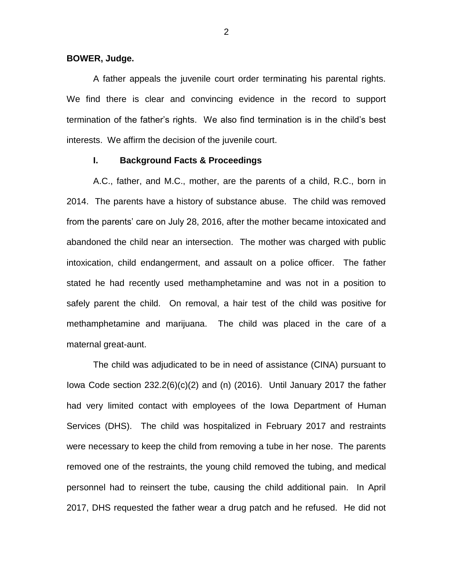#### **BOWER, Judge.**

A father appeals the juvenile court order terminating his parental rights. We find there is clear and convincing evidence in the record to support termination of the father's rights. We also find termination is in the child's best interests. We affirm the decision of the juvenile court.

### **I. Background Facts & Proceedings**

A.C., father, and M.C., mother, are the parents of a child, R.C., born in 2014. The parents have a history of substance abuse. The child was removed from the parents' care on July 28, 2016, after the mother became intoxicated and abandoned the child near an intersection. The mother was charged with public intoxication, child endangerment, and assault on a police officer. The father stated he had recently used methamphetamine and was not in a position to safely parent the child. On removal, a hair test of the child was positive for methamphetamine and marijuana. The child was placed in the care of a maternal great-aunt.

The child was adjudicated to be in need of assistance (CINA) pursuant to Iowa Code section 232.2(6)(c)(2) and (n) (2016). Until January 2017 the father had very limited contact with employees of the Iowa Department of Human Services (DHS). The child was hospitalized in February 2017 and restraints were necessary to keep the child from removing a tube in her nose. The parents removed one of the restraints, the young child removed the tubing, and medical personnel had to reinsert the tube, causing the child additional pain. In April 2017, DHS requested the father wear a drug patch and he refused. He did not

2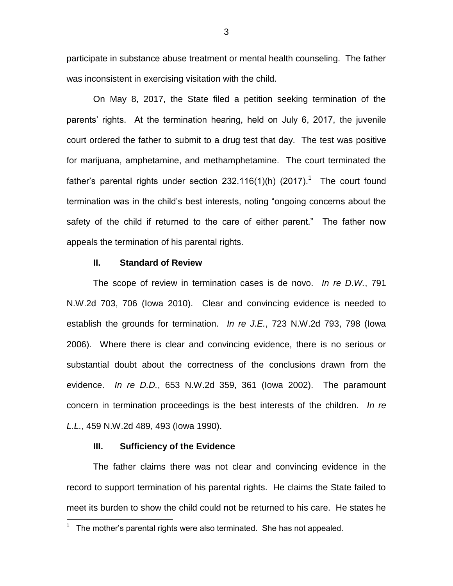participate in substance abuse treatment or mental health counseling. The father was inconsistent in exercising visitation with the child.

On May 8, 2017, the State filed a petition seeking termination of the parents' rights. At the termination hearing, held on July 6, 2017, the juvenile court ordered the father to submit to a drug test that day. The test was positive for marijuana, amphetamine, and methamphetamine. The court terminated the father's parental rights under section 232.116(1)(h) (2017).<sup>1</sup> The court found termination was in the child's best interests, noting "ongoing concerns about the safety of the child if returned to the care of either parent." The father now appeals the termination of his parental rights.

### **II. Standard of Review**

The scope of review in termination cases is de novo. *In re D.W.*, 791 N.W.2d 703, 706 (Iowa 2010). Clear and convincing evidence is needed to establish the grounds for termination. *In re J.E.*, 723 N.W.2d 793, 798 (Iowa 2006). Where there is clear and convincing evidence, there is no serious or substantial doubt about the correctness of the conclusions drawn from the evidence. *In re D.D.*, 653 N.W.2d 359, 361 (Iowa 2002). The paramount concern in termination proceedings is the best interests of the children. *In re L.L.*, 459 N.W.2d 489, 493 (Iowa 1990).

## **III. Sufficiency of the Evidence**

The father claims there was not clear and convincing evidence in the record to support termination of his parental rights. He claims the State failed to meet its burden to show the child could not be returned to his care. He states he

 1 The mother's parental rights were also terminated. She has not appealed.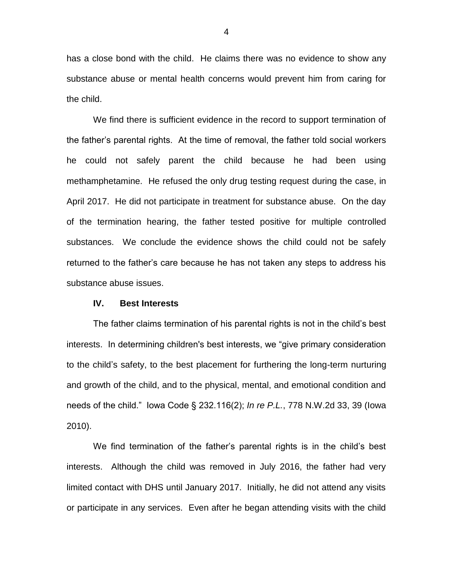has a close bond with the child. He claims there was no evidence to show any substance abuse or mental health concerns would prevent him from caring for the child.

We find there is sufficient evidence in the record to support termination of the father's parental rights. At the time of removal, the father told social workers he could not safely parent the child because he had been using methamphetamine. He refused the only drug testing request during the case, in April 2017. He did not participate in treatment for substance abuse. On the day of the termination hearing, the father tested positive for multiple controlled substances. We conclude the evidence shows the child could not be safely returned to the father's care because he has not taken any steps to address his substance abuse issues.

#### **IV. Best Interests**

The father claims termination of his parental rights is not in the child's best interests. In determining children's best interests, we "give primary consideration to the child's safety, to the best placement for furthering the long-term nurturing and growth of the child, and to the physical, mental, and emotional condition and needs of the child." Iowa Code § 232.116(2); *In re P.L.*, 778 N.W.2d 33, 39 (Iowa 2010).

We find termination of the father's parental rights is in the child's best interests. Although the child was removed in July 2016, the father had very limited contact with DHS until January 2017. Initially, he did not attend any visits or participate in any services. Even after he began attending visits with the child